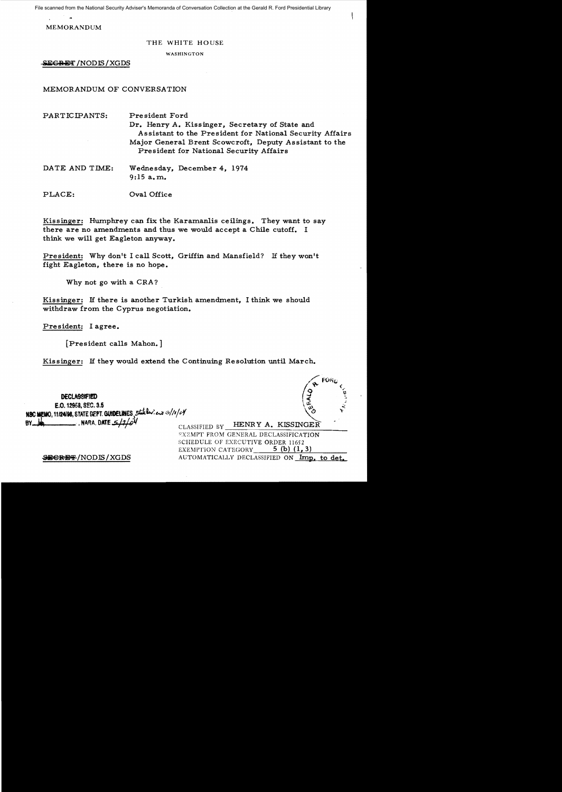File scanned from the National Security Adviser's Memoranda of Conversation Collection at the Gerald R. Ford Presidential Library

**MEMORANDUM** 

## THE WHITE HOUSE

**WASHINGTON** 

**SEGRET / NODIS / XGDS** 

## MEMORANDUM OF CONVERSATION

| $\mathtt{PARTICIPANTS:}$ | President Ford<br>Dr. Henry A. Kissinger, Secretary of State and<br>Assistant to the President for National Security Affairs<br>Major General Brent Scowcroft, Deputy Assistant to the<br>President for National Security Affairs |
|--------------------------|-----------------------------------------------------------------------------------------------------------------------------------------------------------------------------------------------------------------------------------|
| DATE AND TIME:           | Wednesday, December 4, 1974<br>9:15 a.m.                                                                                                                                                                                          |

PLACE: Oval Office

Kissinger: Humphrey can fix the Karamanlis ceilings. They want to say there are no amendments and thus we would accept a Chile cutoff. I think we will get Eagleton anyway.

President: Why don't I call Scott, Griffin and Mansfield? If they won't fight Eagleton, there is no hope.

Why not go with a CRA?

Kissinger: If there is another Turkish amendment, I think we should withdraw from the Cyprus negotiation.

President: Lagree.

**DECLASSIFIED** E.O. 12958, SEC. 3.5

BY MA RA DATE 5/2

[President calls Mahon.]

NBC MEMO, 11/24/98, STATE DEPT. QUIDELINES, Stateler: en 3/10/04

Kissinger: If they would extend the Continuing Resolution until March.

HENRY A. KISSINGER CLASSIFIED BY EXEMPT FROM GENERAL DECLASSIFICATION SCHEDULE OF EXECUTIVE ORDER 11652 5 (b)  $(1, 3)$ EXEMPTION CATEGORY

AUTOMATICALLY DECLASSIFIED ON Imp. to det.

SECRET/NODIS/XGDS